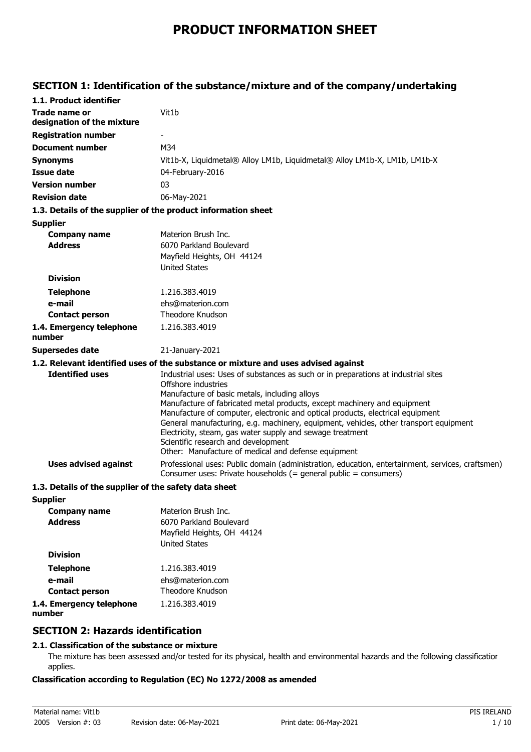# **PRODUCT INFORMATION SHEET**

### **SECTION 1: Identification of the substance/mixture and of the company/undertaking**

| 1.1. Product identifier                               |                                                                                                                                                                                                                                                                                                                                                                                                                                                                                                                                                                              |
|-------------------------------------------------------|------------------------------------------------------------------------------------------------------------------------------------------------------------------------------------------------------------------------------------------------------------------------------------------------------------------------------------------------------------------------------------------------------------------------------------------------------------------------------------------------------------------------------------------------------------------------------|
| <b>Trade name or</b><br>designation of the mixture    | Vit1b                                                                                                                                                                                                                                                                                                                                                                                                                                                                                                                                                                        |
| <b>Registration number</b>                            |                                                                                                                                                                                                                                                                                                                                                                                                                                                                                                                                                                              |
| Document number                                       | M34                                                                                                                                                                                                                                                                                                                                                                                                                                                                                                                                                                          |
| <b>Synonyms</b>                                       | Vit1b-X, Liquidmetal® Alloy LM1b, Liquidmetal® Alloy LM1b-X, LM1b, LM1b-X                                                                                                                                                                                                                                                                                                                                                                                                                                                                                                    |
| <b>Issue date</b>                                     | 04-February-2016                                                                                                                                                                                                                                                                                                                                                                                                                                                                                                                                                             |
| <b>Version number</b>                                 | 03                                                                                                                                                                                                                                                                                                                                                                                                                                                                                                                                                                           |
| <b>Revision date</b>                                  | 06-May-2021                                                                                                                                                                                                                                                                                                                                                                                                                                                                                                                                                                  |
|                                                       | 1.3. Details of the supplier of the product information sheet                                                                                                                                                                                                                                                                                                                                                                                                                                                                                                                |
| <b>Supplier</b>                                       |                                                                                                                                                                                                                                                                                                                                                                                                                                                                                                                                                                              |
| <b>Company name</b>                                   | Materion Brush Inc.                                                                                                                                                                                                                                                                                                                                                                                                                                                                                                                                                          |
| <b>Address</b>                                        | 6070 Parkland Boulevard                                                                                                                                                                                                                                                                                                                                                                                                                                                                                                                                                      |
|                                                       | Mayfield Heights, OH 44124                                                                                                                                                                                                                                                                                                                                                                                                                                                                                                                                                   |
|                                                       | <b>United States</b>                                                                                                                                                                                                                                                                                                                                                                                                                                                                                                                                                         |
| <b>Division</b>                                       |                                                                                                                                                                                                                                                                                                                                                                                                                                                                                                                                                                              |
| <b>Telephone</b>                                      | 1.216.383.4019                                                                                                                                                                                                                                                                                                                                                                                                                                                                                                                                                               |
| e-mail                                                | ehs@materion.com                                                                                                                                                                                                                                                                                                                                                                                                                                                                                                                                                             |
| <b>Contact person</b>                                 | Theodore Knudson                                                                                                                                                                                                                                                                                                                                                                                                                                                                                                                                                             |
| 1.4. Emergency telephone<br>number                    | 1.216.383.4019                                                                                                                                                                                                                                                                                                                                                                                                                                                                                                                                                               |
| Supersedes date                                       | 21-January-2021                                                                                                                                                                                                                                                                                                                                                                                                                                                                                                                                                              |
|                                                       | 1.2. Relevant identified uses of the substance or mixture and uses advised against                                                                                                                                                                                                                                                                                                                                                                                                                                                                                           |
| <b>Identified uses</b>                                | Industrial uses: Uses of substances as such or in preparations at industrial sites<br>Offshore industries<br>Manufacture of basic metals, including alloys<br>Manufacture of fabricated metal products, except machinery and equipment<br>Manufacture of computer, electronic and optical products, electrical equipment<br>General manufacturing, e.g. machinery, equipment, vehicles, other transport equipment<br>Electricity, steam, gas water supply and sewage treatment<br>Scientific research and development<br>Other: Manufacture of medical and defense equipment |
| <b>Uses advised against</b>                           | Professional uses: Public domain (administration, education, entertainment, services, craftsmen)<br>Consumer uses: Private households (= general public = consumers)                                                                                                                                                                                                                                                                                                                                                                                                         |
| 1.3. Details of the supplier of the safety data sheet |                                                                                                                                                                                                                                                                                                                                                                                                                                                                                                                                                                              |
| <b>Supplier</b>                                       |                                                                                                                                                                                                                                                                                                                                                                                                                                                                                                                                                                              |
| <b>Company name</b>                                   | Materion Brush Inc.                                                                                                                                                                                                                                                                                                                                                                                                                                                                                                                                                          |
| <b>Address</b>                                        | 6070 Parkland Boulevard                                                                                                                                                                                                                                                                                                                                                                                                                                                                                                                                                      |
|                                                       | Mayfield Heights, OH 44124                                                                                                                                                                                                                                                                                                                                                                                                                                                                                                                                                   |
|                                                       | <b>United States</b>                                                                                                                                                                                                                                                                                                                                                                                                                                                                                                                                                         |
| <b>Division</b>                                       |                                                                                                                                                                                                                                                                                                                                                                                                                                                                                                                                                                              |
| <b>Telephone</b>                                      | 1.216.383.4019                                                                                                                                                                                                                                                                                                                                                                                                                                                                                                                                                               |
| e-mail                                                | ehs@materion.com                                                                                                                                                                                                                                                                                                                                                                                                                                                                                                                                                             |
| <b>Contact person</b>                                 | Theodore Knudson                                                                                                                                                                                                                                                                                                                                                                                                                                                                                                                                                             |
| 1.4. Emergency telephone                              | 1.216.383.4019                                                                                                                                                                                                                                                                                                                                                                                                                                                                                                                                                               |

**number**

### **SECTION 2: Hazards identification**

### **2.1. Classification of the substance or mixture**

The mixture has been assessed and/or tested for its physical, health and environmental hazards and the following classification applies.

### **Classification according to Regulation (EC) No 1272/2008 as amended**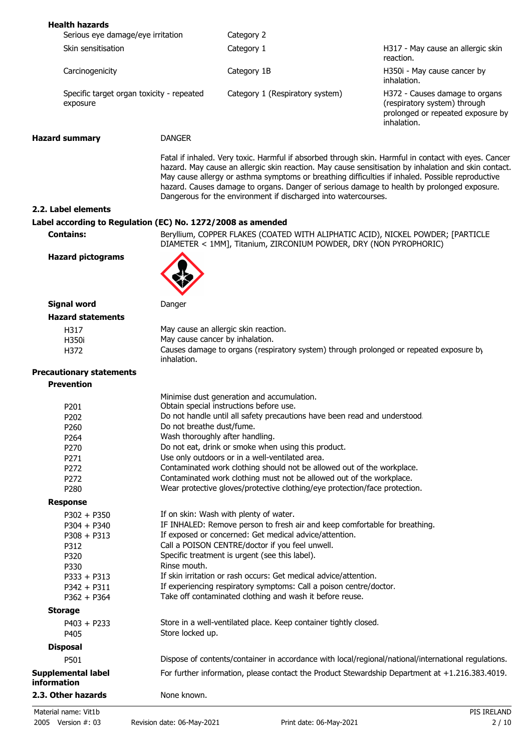| <b>Health hazards</b>                                       |                           |                                                                                                                                                                                                                                                                  |                                                                                                                                                                                                              |  |
|-------------------------------------------------------------|---------------------------|------------------------------------------------------------------------------------------------------------------------------------------------------------------------------------------------------------------------------------------------------------------|--------------------------------------------------------------------------------------------------------------------------------------------------------------------------------------------------------------|--|
| Serious eye damage/eye irritation                           |                           | Category 2                                                                                                                                                                                                                                                       |                                                                                                                                                                                                              |  |
| Skin sensitisation                                          |                           | Category 1                                                                                                                                                                                                                                                       | H317 - May cause an allergic skin<br>reaction.                                                                                                                                                               |  |
| Carcinogenicity                                             |                           | Category 1B                                                                                                                                                                                                                                                      | H350i - May cause cancer by<br>inhalation.                                                                                                                                                                   |  |
| Specific target organ toxicity - repeated<br>exposure       |                           | Category 1 (Respiratory system)                                                                                                                                                                                                                                  | H372 - Causes damage to organs<br>(respiratory system) through<br>prolonged or repeated exposure by<br>inhalation.                                                                                           |  |
| <b>Hazard summary</b>                                       | <b>DANGER</b>             |                                                                                                                                                                                                                                                                  |                                                                                                                                                                                                              |  |
|                                                             |                           | May cause allergy or asthma symptoms or breathing difficulties if inhaled. Possible reproductive<br>hazard. Causes damage to organs. Danger of serious damage to health by prolonged exposure.<br>Dangerous for the environment if discharged into watercourses. | Fatal if inhaled. Very toxic. Harmful if absorbed through skin. Harmful in contact with eyes. Cancer<br>hazard. May cause an allergic skin reaction. May cause sensitisation by inhalation and skin contact. |  |
| 2.2. Label elements                                         |                           |                                                                                                                                                                                                                                                                  |                                                                                                                                                                                                              |  |
| Label according to Regulation (EC) No. 1272/2008 as amended |                           |                                                                                                                                                                                                                                                                  |                                                                                                                                                                                                              |  |
| <b>Contains:</b>                                            |                           | Beryllium, COPPER FLAKES (COATED WITH ALIPHATIC ACID), NICKEL POWDER; [PARTICLE<br>DIAMETER < 1MM], Titanium, ZIRCONIUM POWDER, DRY (NON PYROPHORIC)                                                                                                             |                                                                                                                                                                                                              |  |
| <b>Hazard pictograms</b>                                    |                           |                                                                                                                                                                                                                                                                  |                                                                                                                                                                                                              |  |
| <b>Signal word</b>                                          | Danger                    |                                                                                                                                                                                                                                                                  |                                                                                                                                                                                                              |  |
| <b>Hazard statements</b>                                    |                           |                                                                                                                                                                                                                                                                  |                                                                                                                                                                                                              |  |
| H317                                                        |                           | May cause an allergic skin reaction.                                                                                                                                                                                                                             |                                                                                                                                                                                                              |  |
| H350i                                                       |                           | May cause cancer by inhalation.                                                                                                                                                                                                                                  |                                                                                                                                                                                                              |  |
| H372                                                        | inhalation.               | Causes damage to organs (respiratory system) through prolonged or repeated exposure by                                                                                                                                                                           |                                                                                                                                                                                                              |  |
| <b>Precautionary statements</b>                             |                           |                                                                                                                                                                                                                                                                  |                                                                                                                                                                                                              |  |
| <b>Prevention</b>                                           |                           |                                                                                                                                                                                                                                                                  |                                                                                                                                                                                                              |  |
|                                                             |                           | Minimise dust generation and accumulation.                                                                                                                                                                                                                       |                                                                                                                                                                                                              |  |
| P201                                                        |                           | Obtain special instructions before use.                                                                                                                                                                                                                          |                                                                                                                                                                                                              |  |
| P202                                                        |                           | Do not handle until all safety precautions have been read and understood.                                                                                                                                                                                        |                                                                                                                                                                                                              |  |
| P260                                                        | Do not breathe dust/fume. |                                                                                                                                                                                                                                                                  |                                                                                                                                                                                                              |  |
| P264                                                        |                           | Wash thoroughly after handling.                                                                                                                                                                                                                                  |                                                                                                                                                                                                              |  |
| P270                                                        |                           | Do not eat, drink or smoke when using this product.                                                                                                                                                                                                              |                                                                                                                                                                                                              |  |
| P271                                                        |                           | Use only outdoors or in a well-ventilated area.                                                                                                                                                                                                                  |                                                                                                                                                                                                              |  |
| P272                                                        |                           | Contaminated work clothing should not be allowed out of the workplace.                                                                                                                                                                                           |                                                                                                                                                                                                              |  |
| P272                                                        |                           | Contaminated work clothing must not be allowed out of the workplace.                                                                                                                                                                                             |                                                                                                                                                                                                              |  |
| P280                                                        |                           | Wear protective gloves/protective clothing/eye protection/face protection.                                                                                                                                                                                       |                                                                                                                                                                                                              |  |
| <b>Response</b>                                             |                           |                                                                                                                                                                                                                                                                  |                                                                                                                                                                                                              |  |
| $P302 + P350$                                               |                           | If on skin: Wash with plenty of water.                                                                                                                                                                                                                           |                                                                                                                                                                                                              |  |
| $P304 + P340$                                               |                           | IF INHALED: Remove person to fresh air and keep comfortable for breathing.                                                                                                                                                                                       |                                                                                                                                                                                                              |  |
| $P308 + P313$                                               |                           | If exposed or concerned: Get medical advice/attention.                                                                                                                                                                                                           |                                                                                                                                                                                                              |  |
| P312                                                        |                           | Call a POISON CENTRE/doctor if you feel unwell.                                                                                                                                                                                                                  |                                                                                                                                                                                                              |  |
| P320                                                        |                           | Specific treatment is urgent (see this label).                                                                                                                                                                                                                   |                                                                                                                                                                                                              |  |
| P330                                                        | Rinse mouth.              |                                                                                                                                                                                                                                                                  |                                                                                                                                                                                                              |  |
| $P333 + P313$                                               |                           | If skin irritation or rash occurs: Get medical advice/attention.                                                                                                                                                                                                 |                                                                                                                                                                                                              |  |
| $P342 + P311$                                               |                           | If experiencing respiratory symptoms: Call a poison centre/doctor.                                                                                                                                                                                               |                                                                                                                                                                                                              |  |
| $P362 + P364$                                               |                           | Take off contaminated clothing and wash it before reuse.                                                                                                                                                                                                         |                                                                                                                                                                                                              |  |
| <b>Storage</b>                                              |                           |                                                                                                                                                                                                                                                                  |                                                                                                                                                                                                              |  |
| $P403 + P233$                                               |                           | Store in a well-ventilated place. Keep container tightly closed.                                                                                                                                                                                                 |                                                                                                                                                                                                              |  |
| P405                                                        | Store locked up.          |                                                                                                                                                                                                                                                                  |                                                                                                                                                                                                              |  |
|                                                             |                           |                                                                                                                                                                                                                                                                  |                                                                                                                                                                                                              |  |
| <b>Disposal</b>                                             |                           |                                                                                                                                                                                                                                                                  |                                                                                                                                                                                                              |  |
| P501                                                        |                           | Dispose of contents/container in accordance with local/regional/national/international regulations.                                                                                                                                                              |                                                                                                                                                                                                              |  |
| Supplemental label<br>information                           |                           | For further information, please contact the Product Stewardship Department at +1.216.383.4019.                                                                                                                                                                   |                                                                                                                                                                                                              |  |
| 2.3. Other hazards                                          | None known.               |                                                                                                                                                                                                                                                                  |                                                                                                                                                                                                              |  |
| Material name: Vit1b                                        |                           |                                                                                                                                                                                                                                                                  | PIS IRELAND                                                                                                                                                                                                  |  |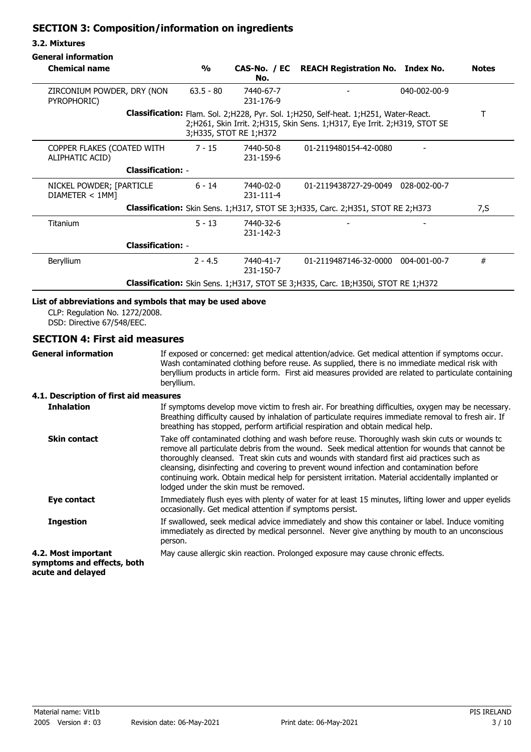### **SECTION 3: Composition/information on ingredients**

### **3.2. Mixtures**

| <b>Chemical name</b>                                                                     | $\frac{0}{0}$            | No.                          | CAS-No. / EC REACH Registration No. Index No.                                                                                                                        | <b>Notes</b> |
|------------------------------------------------------------------------------------------|--------------------------|------------------------------|----------------------------------------------------------------------------------------------------------------------------------------------------------------------|--------------|
| ZIRCONIUM POWDER, DRY (NON<br>PYROPHORIC)                                                | $63.5 - 80$              | 7440-67-7<br>231-176-9       |                                                                                                                                                                      | 040-002-00-9 |
|                                                                                          |                          | 3; H335, STOT RE 1; H372     | Classification: Flam. Sol. 2; H228, Pyr. Sol. 1; H250, Self-heat. 1; H251, Water-React.<br>2;H261, Skin Irrit. 2;H315, Skin Sens. 1;H317, Eye Irrit. 2;H319, STOT SE |              |
| COPPER FLAKES (COATED WITH<br>ALIPHATIC ACID)                                            | 7 - 15                   | 7440-50-8<br>231-159-6       | 01-2119480154-42-0080                                                                                                                                                |              |
| <b>Classification: -</b>                                                                 |                          |                              |                                                                                                                                                                      |              |
| NICKEL POWDER; [PARTICLE<br>DIAMETER < 1MM                                               | $6 - 14$                 | 7440-02-0<br>$231 - 111 - 4$ | 01-2119438727-29-0049 028-002-00-7                                                                                                                                   |              |
| Classification: Skin Sens. 1; H317, STOT SE 3; H335, Carc. 2; H351, STOT RE 2; H373      |                          |                              |                                                                                                                                                                      | 7,S          |
| <b>Titanium</b>                                                                          | $5 - 13$                 | 7440-32-6<br>231-142-3       |                                                                                                                                                                      |              |
|                                                                                          | <b>Classification: -</b> |                              |                                                                                                                                                                      |              |
| Beryllium                                                                                | $2 - 4.5$                | 7440-41-7<br>231-150-7       | 01-2119487146-32-0000 004-001-00-7                                                                                                                                   | #            |
| <b>Classification:</b> Skin Sens. 1;H317, STOT SE 3;H335, Carc. 1B;H350i, STOT RE 1;H372 |                          |                              |                                                                                                                                                                      |              |

### **List of abbreviations and symbols that may be used above**

CLP: Regulation No. 1272/2008. DSD: Directive 67/548/EEC.

### **SECTION 4: First aid measures**

**General information**

If exposed or concerned: get medical attention/advice. Get medical attention if symptoms occur. Wash contaminated clothing before reuse. As supplied, there is no immediate medical risk with beryllium products in article form. First aid measures provided are related to particulate containing beryllium.

### **4.1. Description of first aid measures**

| <b>Inhalation</b>                                                      | If symptoms develop move victim to fresh air. For breathing difficulties, oxygen may be necessary.<br>Breathing difficulty caused by inhalation of particulate requires immediate removal to fresh air. If<br>breathing has stopped, perform artificial respiration and obtain medical help.                                                                                                                                                                                                                                            |
|------------------------------------------------------------------------|-----------------------------------------------------------------------------------------------------------------------------------------------------------------------------------------------------------------------------------------------------------------------------------------------------------------------------------------------------------------------------------------------------------------------------------------------------------------------------------------------------------------------------------------|
| <b>Skin contact</b>                                                    | Take off contaminated clothing and wash before reuse. Thoroughly wash skin cuts or wounds to<br>remove all particulate debris from the wound. Seek medical attention for wounds that cannot be<br>thoroughly cleansed. Treat skin cuts and wounds with standard first aid practices such as<br>cleansing, disinfecting and covering to prevent wound infection and contamination before<br>continuing work. Obtain medical help for persistent irritation. Material accidentally implanted or<br>lodged under the skin must be removed. |
| Eye contact                                                            | Immediately flush eyes with plenty of water for at least 15 minutes, lifting lower and upper eyelids<br>occasionally. Get medical attention if symptoms persist.                                                                                                                                                                                                                                                                                                                                                                        |
| <b>Ingestion</b>                                                       | If swallowed, seek medical advice immediately and show this container or label. Induce vomiting<br>immediately as directed by medical personnel. Never give anything by mouth to an unconscious<br>person.                                                                                                                                                                                                                                                                                                                              |
| 4.2. Most important<br>symptoms and effects, both<br>acute and delayed | May cause allergic skin reaction. Prolonged exposure may cause chronic effects.                                                                                                                                                                                                                                                                                                                                                                                                                                                         |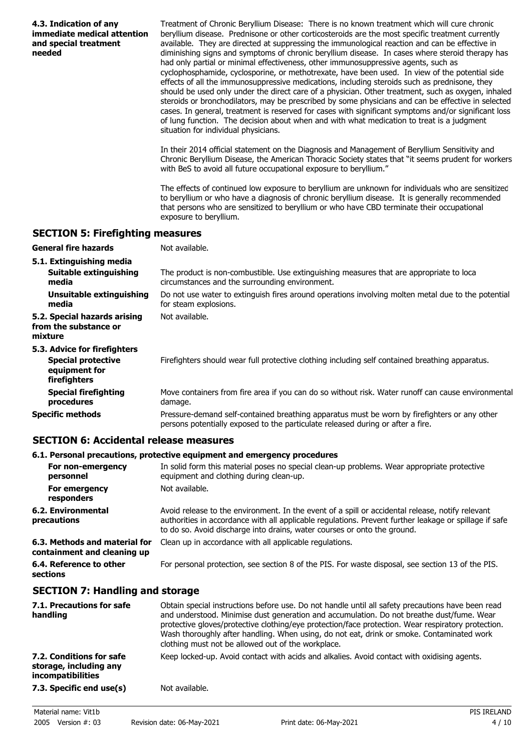| 4.3. Indication of any<br>immediate medical attention<br>and special treatment<br>needed | Treatment of Chronic Beryllium Disease: There is no known treatment which will cure chronic<br>beryllium disease. Prednisone or other corticosteroids are the most specific treatment currently<br>available. They are directed at suppressing the immunological reaction and can be effective in<br>diminishing signs and symptoms of chronic beryllium disease. In cases where steroid therapy has<br>had only partial or minimal effectiveness, other immunosuppressive agents, such as<br>cyclophosphamide, cyclosporine, or methotrexate, have been used. In view of the potential side<br>effects of all the immunosuppressive medications, including steroids such as prednisone, they<br>should be used only under the direct care of a physician. Other treatment, such as oxygen, inhaled<br>steroids or bronchodilators, may be prescribed by some physicians and can be effective in selected<br>cases. In general, treatment is reserved for cases with significant symptoms and/or significant loss<br>of lung function. The decision about when and with what medication to treat is a judgment<br>situation for individual physicians.<br>In their 2014 official statement on the Diagnosis and Management of Beryllium Sensitivity and |
|------------------------------------------------------------------------------------------|---------------------------------------------------------------------------------------------------------------------------------------------------------------------------------------------------------------------------------------------------------------------------------------------------------------------------------------------------------------------------------------------------------------------------------------------------------------------------------------------------------------------------------------------------------------------------------------------------------------------------------------------------------------------------------------------------------------------------------------------------------------------------------------------------------------------------------------------------------------------------------------------------------------------------------------------------------------------------------------------------------------------------------------------------------------------------------------------------------------------------------------------------------------------------------------------------------------------------------------------------------|
|                                                                                          | Chronic Beryllium Disease, the American Thoracic Society states that "it seems prudent for workers<br>with BeS to avoid all future occupational exposure to beryllium."                                                                                                                                                                                                                                                                                                                                                                                                                                                                                                                                                                                                                                                                                                                                                                                                                                                                                                                                                                                                                                                                                 |
|                                                                                          | The effects of continued low exposure to beryllium are unknown for individuals who are sensitized<br>to beryllium or who have a diagnosis of chronic beryllium disease. It is generally recommended<br>that persons who are sensitized to beryllium or who have CBD terminate their occupational<br>exposure to beryllium.                                                                                                                                                                                                                                                                                                                                                                                                                                                                                                                                                                                                                                                                                                                                                                                                                                                                                                                              |
| <b>SECTION 5: Firefighting measures</b>                                                  |                                                                                                                                                                                                                                                                                                                                                                                                                                                                                                                                                                                                                                                                                                                                                                                                                                                                                                                                                                                                                                                                                                                                                                                                                                                         |
| <b>General fire hazards</b>                                                              | Not available.                                                                                                                                                                                                                                                                                                                                                                                                                                                                                                                                                                                                                                                                                                                                                                                                                                                                                                                                                                                                                                                                                                                                                                                                                                          |
| 5.1. Extinguishing media                                                                 |                                                                                                                                                                                                                                                                                                                                                                                                                                                                                                                                                                                                                                                                                                                                                                                                                                                                                                                                                                                                                                                                                                                                                                                                                                                         |
| Suitable extinguishing<br>media                                                          | The product is non-combustible. Use extinguishing measures that are appropriate to loca<br>circumstances and the surrounding environment.                                                                                                                                                                                                                                                                                                                                                                                                                                                                                                                                                                                                                                                                                                                                                                                                                                                                                                                                                                                                                                                                                                               |
| <b>Unsuitable extinguishing</b><br>media                                                 | Do not use water to extinguish fires around operations involving molten metal due to the potential<br>for steam explosions.                                                                                                                                                                                                                                                                                                                                                                                                                                                                                                                                                                                                                                                                                                                                                                                                                                                                                                                                                                                                                                                                                                                             |
| 5.2. Special hazards arising<br>from the substance or<br>mixture                         | Not available.                                                                                                                                                                                                                                                                                                                                                                                                                                                                                                                                                                                                                                                                                                                                                                                                                                                                                                                                                                                                                                                                                                                                                                                                                                          |
| 5.3. Advice for firefighters                                                             |                                                                                                                                                                                                                                                                                                                                                                                                                                                                                                                                                                                                                                                                                                                                                                                                                                                                                                                                                                                                                                                                                                                                                                                                                                                         |
| <b>Special protective</b><br>equipment for<br>firefighters                               | Firefighters should wear full protective clothing including self contained breathing apparatus.                                                                                                                                                                                                                                                                                                                                                                                                                                                                                                                                                                                                                                                                                                                                                                                                                                                                                                                                                                                                                                                                                                                                                         |
| <b>Special firefighting</b><br>procedures                                                | Move containers from fire area if you can do so without risk. Water runoff can cause environmental<br>damage.                                                                                                                                                                                                                                                                                                                                                                                                                                                                                                                                                                                                                                                                                                                                                                                                                                                                                                                                                                                                                                                                                                                                           |
| <b>Specific methods</b>                                                                  | Pressure-demand self-contained breathing apparatus must be worn by firefighters or any other<br>persons potentially exposed to the particulate released during or after a fire.                                                                                                                                                                                                                                                                                                                                                                                                                                                                                                                                                                                                                                                                                                                                                                                                                                                                                                                                                                                                                                                                         |
| <b>SECTION 6: Accidental release measures</b>                                            |                                                                                                                                                                                                                                                                                                                                                                                                                                                                                                                                                                                                                                                                                                                                                                                                                                                                                                                                                                                                                                                                                                                                                                                                                                                         |

### **6.1. Personal precautions, protective equipment and emergency procedures**

|                                                              | oral i crocini predugionoj protective eguiphicht unu chief gener proteuares                                                                                                                                                                                                            |
|--------------------------------------------------------------|----------------------------------------------------------------------------------------------------------------------------------------------------------------------------------------------------------------------------------------------------------------------------------------|
| For non-emergency<br>personnel                               | In solid form this material poses no special clean-up problems. Wear appropriate protective<br>equipment and clothing during clean-up.                                                                                                                                                 |
| For emergency<br>responders                                  | Not available.                                                                                                                                                                                                                                                                         |
| 6.2. Environmental<br>precautions                            | Avoid release to the environment. In the event of a spill or accidental release, notify relevant<br>authorities in accordance with all applicable regulations. Prevent further leakage or spillage if safe<br>to do so. Avoid discharge into drains, water courses or onto the ground. |
| 6.3. Methods and material for<br>containment and cleaning up | Clean up in accordance with all applicable regulations.                                                                                                                                                                                                                                |
| 6.4. Reference to other<br>sections                          | For personal protection, see section 8 of the PIS. For waste disposal, see section 13 of the PIS.                                                                                                                                                                                      |

## **SECTION 7: Handling and storage**

| 7.1. Precautions for safe<br>handling                                          | Obtain special instructions before use. Do not handle until all safety precautions have been read<br>and understood. Minimise dust generation and accumulation. Do not breathe dust/fume. Wear<br>protective gloves/protective clothing/eye protection/face protection. Wear respiratory protection.<br>Wash thoroughly after handling. When using, do not eat, drink or smoke. Contaminated work<br>clothing must not be allowed out of the workplace. |
|--------------------------------------------------------------------------------|---------------------------------------------------------------------------------------------------------------------------------------------------------------------------------------------------------------------------------------------------------------------------------------------------------------------------------------------------------------------------------------------------------------------------------------------------------|
| 7.2. Conditions for safe<br>storage, including any<br><i>incompatibilities</i> | Keep locked-up. Avoid contact with acids and alkalies. Avoid contact with oxidising agents.                                                                                                                                                                                                                                                                                                                                                             |
| 7.3. Specific end use(s)                                                       | Not available.                                                                                                                                                                                                                                                                                                                                                                                                                                          |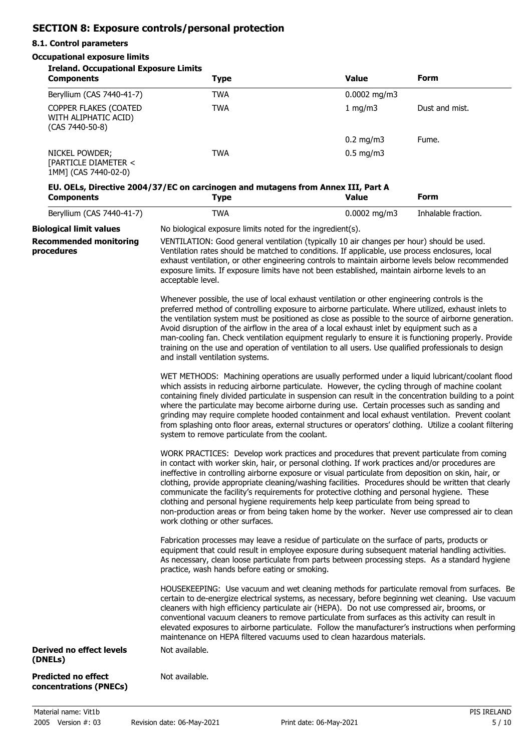## **SECTION 8: Exposure controls/personal protection**

### **8.1. Control parameters**

### **Occupational exposure limits**

| <b>Ireland. Occupational Exposure Limits</b><br><b>Components</b>             | <b>Type</b>                                                                                                                                                                                                                                                                                                                                                                                                                                                                                                                                                                                                                                                                                                                                                                                                                                                                                                                                                                                                                                                                                                                                            | <b>Value</b>   | <b>Form</b>         |  |
|-------------------------------------------------------------------------------|--------------------------------------------------------------------------------------------------------------------------------------------------------------------------------------------------------------------------------------------------------------------------------------------------------------------------------------------------------------------------------------------------------------------------------------------------------------------------------------------------------------------------------------------------------------------------------------------------------------------------------------------------------------------------------------------------------------------------------------------------------------------------------------------------------------------------------------------------------------------------------------------------------------------------------------------------------------------------------------------------------------------------------------------------------------------------------------------------------------------------------------------------------|----------------|---------------------|--|
| Beryllium (CAS 7440-41-7)                                                     | <b>TWA</b>                                                                                                                                                                                                                                                                                                                                                                                                                                                                                                                                                                                                                                                                                                                                                                                                                                                                                                                                                                                                                                                                                                                                             | $0.0002$ mg/m3 |                     |  |
| COPPER FLAKES (COATED<br>WITH ALIPHATIC ACID)<br>(CAS 7440-50-8)              | <b>TWA</b>                                                                                                                                                                                                                                                                                                                                                                                                                                                                                                                                                                                                                                                                                                                                                                                                                                                                                                                                                                                                                                                                                                                                             | 1 mg/m3        | Dust and mist.      |  |
|                                                                               |                                                                                                                                                                                                                                                                                                                                                                                                                                                                                                                                                                                                                                                                                                                                                                                                                                                                                                                                                                                                                                                                                                                                                        | $0.2$ mg/m3    | Fume.               |  |
| NICKEL POWDER;<br>[PARTICLE DIAMETER <<br>1MM] (CAS 7440-02-0)                | <b>TWA</b>                                                                                                                                                                                                                                                                                                                                                                                                                                                                                                                                                                                                                                                                                                                                                                                                                                                                                                                                                                                                                                                                                                                                             | $0.5$ mg/m3    |                     |  |
| <b>Components</b>                                                             | EU. OELs, Directive 2004/37/EC on carcinogen and mutagens from Annex III, Part A<br><b>Type</b>                                                                                                                                                                                                                                                                                                                                                                                                                                                                                                                                                                                                                                                                                                                                                                                                                                                                                                                                                                                                                                                        | <b>Value</b>   | <b>Form</b>         |  |
| Beryllium (CAS 7440-41-7)                                                     | <b>TWA</b>                                                                                                                                                                                                                                                                                                                                                                                                                                                                                                                                                                                                                                                                                                                                                                                                                                                                                                                                                                                                                                                                                                                                             | $0.0002$ mg/m3 | Inhalable fraction. |  |
| <b>Biological limit values</b><br><b>Recommended monitoring</b><br>procedures | No biological exposure limits noted for the ingredient(s).<br>VENTILATION: Good general ventilation (typically 10 air changes per hour) should be used.<br>Ventilation rates should be matched to conditions. If applicable, use process enclosures, local<br>exhaust ventilation, or other engineering controls to maintain airborne levels below recommended<br>exposure limits. If exposure limits have not been established, maintain airborne levels to an<br>acceptable level.<br>Whenever possible, the use of local exhaust ventilation or other engineering controls is the<br>preferred method of controlling exposure to airborne particulate. Where utilized, exhaust inlets to<br>the ventilation system must be positioned as close as possible to the source of airborne generation.<br>Avoid disruption of the airflow in the area of a local exhaust inlet by equipment such as a<br>man-cooling fan. Check ventilation equipment regularly to ensure it is functioning properly. Provide<br>training on the use and operation of ventilation to all users. Use qualified professionals to design<br>and install ventilation systems. |                |                     |  |
|                                                                               | WET METHODS: Machining operations are usually performed under a liquid lubricant/coolant flood<br>which assists in reducing airborne particulate. However, the cycling through of machine coolant<br>containing finely divided particulate in suspension can result in the concentration building to a point<br>where the particulate may become airborne during use. Certain processes such as sanding and<br>grinding may require complete hooded containment and local exhaust ventilation. Prevent coolant<br>from splashing onto floor areas, external structures or operators' clothing. Utilize a coolant filtering<br>system to remove particulate from the coolant.                                                                                                                                                                                                                                                                                                                                                                                                                                                                           |                |                     |  |
|                                                                               | WORK PRACTICES: Develop work practices and procedures that prevent particulate from coming<br>in contact with worker skin, hair, or personal clothing. If work practices and/or procedures are<br>ineffective in controlling airborne exposure or visual particulate from deposition on skin, hair, or<br>clothing, provide appropriate cleaning/washing facilities. Procedures should be written that clearly<br>communicate the facility's requirements for protective clothing and personal hygiene. These<br>clothing and personal hygiene requirements help keep particulate from being spread to<br>non-production areas or from being taken home by the worker. Never use compressed air to clean<br>work clothing or other surfaces.                                                                                                                                                                                                                                                                                                                                                                                                           |                |                     |  |
|                                                                               | Fabrication processes may leave a residue of particulate on the surface of parts, products or<br>equipment that could result in employee exposure during subsequent material handling activities.<br>As necessary, clean loose particulate from parts between processing steps. As a standard hygiene<br>practice, wash hands before eating or smoking.                                                                                                                                                                                                                                                                                                                                                                                                                                                                                                                                                                                                                                                                                                                                                                                                |                |                     |  |
|                                                                               | HOUSEKEEPING: Use vacuum and wet cleaning methods for particulate removal from surfaces. Be<br>certain to de-energize electrical systems, as necessary, before beginning wet cleaning. Use vacuum<br>cleaners with high efficiency particulate air (HEPA). Do not use compressed air, brooms, or<br>conventional vacuum cleaners to remove particulate from surfaces as this activity can result in<br>elevated exposures to airborne particulate. Follow the manufacturer's instructions when performing<br>maintenance on HEPA filtered vacuums used to clean hazardous materials.                                                                                                                                                                                                                                                                                                                                                                                                                                                                                                                                                                   |                |                     |  |
| Derived no effect levels<br>(DNELs)                                           | Not available.                                                                                                                                                                                                                                                                                                                                                                                                                                                                                                                                                                                                                                                                                                                                                                                                                                                                                                                                                                                                                                                                                                                                         |                |                     |  |
| <b>Predicted no effect</b><br>concentrations (PNECs)                          | Not available.                                                                                                                                                                                                                                                                                                                                                                                                                                                                                                                                                                                                                                                                                                                                                                                                                                                                                                                                                                                                                                                                                                                                         |                |                     |  |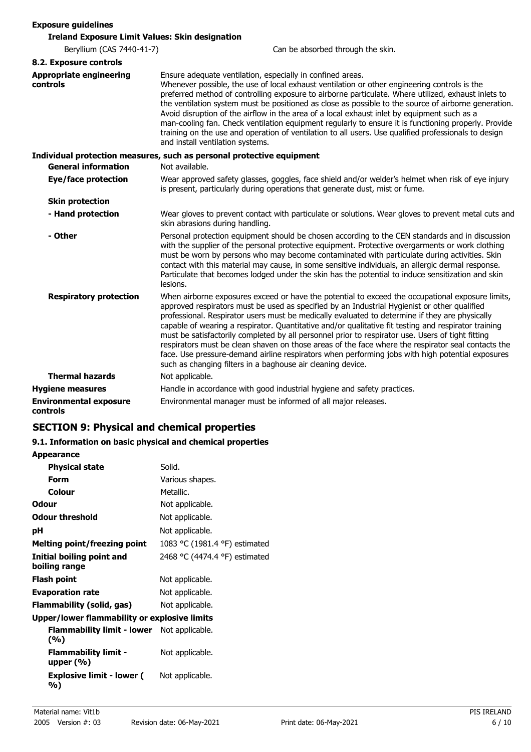| <b>Exposure guidelines</b>                             |                                                                                                                                                                                                                                                                                                                                                                                                                                                                                                                                                                                                                                                                                                                                                                                          |  |  |
|--------------------------------------------------------|------------------------------------------------------------------------------------------------------------------------------------------------------------------------------------------------------------------------------------------------------------------------------------------------------------------------------------------------------------------------------------------------------------------------------------------------------------------------------------------------------------------------------------------------------------------------------------------------------------------------------------------------------------------------------------------------------------------------------------------------------------------------------------------|--|--|
| <b>Ireland Exposure Limit Values: Skin designation</b> |                                                                                                                                                                                                                                                                                                                                                                                                                                                                                                                                                                                                                                                                                                                                                                                          |  |  |
| Beryllium (CAS 7440-41-7)                              | Can be absorbed through the skin.                                                                                                                                                                                                                                                                                                                                                                                                                                                                                                                                                                                                                                                                                                                                                        |  |  |
| 8.2. Exposure controls                                 |                                                                                                                                                                                                                                                                                                                                                                                                                                                                                                                                                                                                                                                                                                                                                                                          |  |  |
| <b>Appropriate engineering</b><br>controls             | Ensure adequate ventilation, especially in confined areas.<br>Whenever possible, the use of local exhaust ventilation or other engineering controls is the<br>preferred method of controlling exposure to airborne particulate. Where utilized, exhaust inlets to<br>the ventilation system must be positioned as close as possible to the source of airborne generation.<br>Avoid disruption of the airflow in the area of a local exhaust inlet by equipment such as a<br>man-cooling fan. Check ventilation equipment regularly to ensure it is functioning properly. Provide<br>training on the use and operation of ventilation to all users. Use qualified professionals to design<br>and install ventilation systems.                                                             |  |  |
| <b>General information</b>                             | Individual protection measures, such as personal protective equipment<br>Not available.                                                                                                                                                                                                                                                                                                                                                                                                                                                                                                                                                                                                                                                                                                  |  |  |
| <b>Eye/face protection</b>                             | Wear approved safety glasses, goggles, face shield and/or welder's helmet when risk of eye injury<br>is present, particularly during operations that generate dust, mist or fume.                                                                                                                                                                                                                                                                                                                                                                                                                                                                                                                                                                                                        |  |  |
| <b>Skin protection</b>                                 |                                                                                                                                                                                                                                                                                                                                                                                                                                                                                                                                                                                                                                                                                                                                                                                          |  |  |
| - Hand protection                                      | Wear gloves to prevent contact with particulate or solutions. Wear gloves to prevent metal cuts and<br>skin abrasions during handling.                                                                                                                                                                                                                                                                                                                                                                                                                                                                                                                                                                                                                                                   |  |  |
| - Other                                                | Personal protection equipment should be chosen according to the CEN standards and in discussion<br>with the supplier of the personal protective equipment. Protective overgarments or work clothing<br>must be worn by persons who may become contaminated with particulate during activities. Skin<br>contact with this material may cause, in some sensitive individuals, an allergic dermal response.<br>Particulate that becomes lodged under the skin has the potential to induce sensitization and skin<br>lesions.                                                                                                                                                                                                                                                                |  |  |
| <b>Respiratory protection</b>                          | When airborne exposures exceed or have the potential to exceed the occupational exposure limits,<br>approved respirators must be used as specified by an Industrial Hygienist or other qualified<br>professional. Respirator users must be medically evaluated to determine if they are physically<br>capable of wearing a respirator. Quantitative and/or qualitative fit testing and respirator training<br>must be satisfactorily completed by all personnel prior to respirator use. Users of tight fitting<br>respirators must be clean shaven on those areas of the face where the respirator seal contacts the<br>face. Use pressure-demand airline respirators when performing jobs with high potential exposures<br>such as changing filters in a baghouse air cleaning device. |  |  |
| <b>Thermal hazards</b>                                 | Not applicable.                                                                                                                                                                                                                                                                                                                                                                                                                                                                                                                                                                                                                                                                                                                                                                          |  |  |
| <b>Hygiene measures</b>                                | Handle in accordance with good industrial hygiene and safety practices.                                                                                                                                                                                                                                                                                                                                                                                                                                                                                                                                                                                                                                                                                                                  |  |  |
| <b>Environmental exposure</b><br>controls              | Environmental manager must be informed of all major releases.                                                                                                                                                                                                                                                                                                                                                                                                                                                                                                                                                                                                                                                                                                                            |  |  |

## **SECTION 9: Physical and chemical properties**

### **9.1. Information on basic physical and chemical properties**

| <b>Appearance</b>                                   |                               |  |
|-----------------------------------------------------|-------------------------------|--|
| <b>Physical state</b>                               | Solid.                        |  |
| Form                                                | Various shapes.               |  |
| Colour                                              | Metallic.                     |  |
| Odour                                               | Not applicable.               |  |
| <b>Odour threshold</b>                              | Not applicable.               |  |
| рH                                                  | Not applicable.               |  |
| <b>Melting point/freezing point</b>                 | 1083 °C (1981.4 °F) estimated |  |
| Initial boiling point and<br>boiling range          | 2468 °C (4474.4 °F) estimated |  |
| Flash point                                         | Not applicable.               |  |
| <b>Evaporation rate</b>                             | Not applicable.               |  |
| Flammability (solid, gas)                           | Not applicable.               |  |
| <b>Upper/lower flammability or explosive limits</b> |                               |  |
| Flammability limit - lower<br>(%)                   | Not applicable.               |  |
| <b>Flammability limit -</b><br>upper $(\%)$         | Not applicable.               |  |
| <b>Explosive limit - lower (</b><br>%)              | Not applicable.               |  |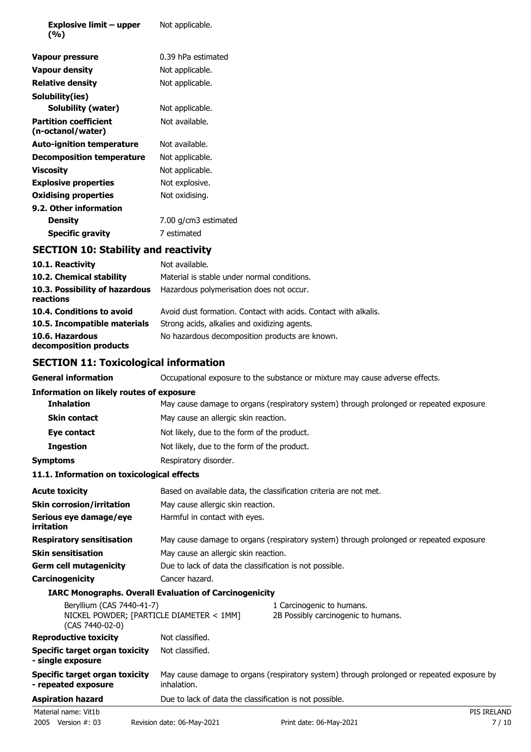| Explosive limit – upper<br>(%)                    | Not applicable.      |
|---------------------------------------------------|----------------------|
| Vapour pressure                                   | 0.39 hPa estimated   |
| <b>Vapour density</b>                             | Not applicable.      |
| <b>Relative density</b>                           | Not applicable.      |
| Solubility(ies)                                   |                      |
| Solubility (water)                                | Not applicable.      |
| <b>Partition coefficient</b><br>(n-octanol/water) | Not available.       |
| <b>Auto-ignition temperature</b>                  | Not available.       |
| <b>Decomposition temperature</b>                  | Not applicable.      |
| <b>Viscosity</b>                                  | Not applicable.      |
| <b>Explosive properties</b>                       | Not explosive.       |
| <b>Oxidising properties</b>                       | Not oxidising.       |
| 9.2. Other information                            |                      |
| <b>Density</b>                                    | 7.00 g/cm3 estimated |
| Specific gravity                                  | 7 estimated          |

# **SECTION 10: Stability and reactivity**

| 10.1. Reactivity                            | Not available.                                                  |
|---------------------------------------------|-----------------------------------------------------------------|
| 10.2. Chemical stability                    | Material is stable under normal conditions.                     |
| 10.3. Possibility of hazardous<br>reactions | Hazardous polymerisation does not occur.                        |
| 10.4. Conditions to avoid                   | Avoid dust formation. Contact with acids. Contact with alkalis. |
| 10.5. Incompatible materials                | Strong acids, alkalies and oxidizing agents.                    |
| 10.6. Hazardous<br>decomposition products   | No hazardous decomposition products are known.                  |

# **SECTION 11: Toxicological information**

| <b>General information</b>                                    |                                                                                                 | Occupational exposure to the substance or mixture may cause adverse effects.              |             |
|---------------------------------------------------------------|-------------------------------------------------------------------------------------------------|-------------------------------------------------------------------------------------------|-------------|
| <b>Information on likely routes of exposure</b>               |                                                                                                 |                                                                                           |             |
| <b>Inhalation</b>                                             |                                                                                                 | May cause damage to organs (respiratory system) through prolonged or repeated exposure.   |             |
| <b>Skin contact</b>                                           | May cause an allergic skin reaction.                                                            |                                                                                           |             |
| Eye contact                                                   | Not likely, due to the form of the product.                                                     |                                                                                           |             |
| <b>Ingestion</b>                                              | Not likely, due to the form of the product.                                                     |                                                                                           |             |
| <b>Symptoms</b>                                               | Respiratory disorder.                                                                           |                                                                                           |             |
| 11.1. Information on toxicological effects                    |                                                                                                 |                                                                                           |             |
| <b>Acute toxicity</b>                                         |                                                                                                 | Based on available data, the classification criteria are not met.                         |             |
| <b>Skin corrosion/irritation</b>                              | May cause allergic skin reaction.                                                               |                                                                                           |             |
| Serious eye damage/eye<br>irritation                          | Harmful in contact with eyes.                                                                   |                                                                                           |             |
| <b>Respiratory sensitisation</b>                              |                                                                                                 | May cause damage to organs (respiratory system) through prolonged or repeated exposure.   |             |
| <b>Skin sensitisation</b>                                     | May cause an allergic skin reaction.<br>Due to lack of data the classification is not possible. |                                                                                           |             |
| <b>Germ cell mutagenicity</b>                                 |                                                                                                 |                                                                                           |             |
| Carcinogenicity                                               | Cancer hazard.                                                                                  |                                                                                           |             |
| <b>IARC Monographs. Overall Evaluation of Carcinogenicity</b> |                                                                                                 |                                                                                           |             |
| Beryllium (CAS 7440-41-7)<br>(CAS 7440-02-0)                  | NICKEL POWDER; [PARTICLE DIAMETER < 1MM]                                                        | 1 Carcinogenic to humans.<br>2B Possibly carcinogenic to humans.                          |             |
| <b>Reproductive toxicity</b>                                  | Not classified.                                                                                 |                                                                                           |             |
| <b>Specific target organ toxicity</b><br>- single exposure    | Not classified.                                                                                 |                                                                                           |             |
| Specific target organ toxicity<br>- repeated exposure         | inhalation.                                                                                     | May cause damage to organs (respiratory system) through prolonged or repeated exposure by |             |
| <b>Aspiration hazard</b>                                      | Due to lack of data the classification is not possible.                                         |                                                                                           |             |
| Material name: Vit1b                                          |                                                                                                 |                                                                                           | PIS IRELAND |
| 2005 Version #: 03                                            | Revision date: 06-May-2021                                                                      | Print date: 06-May-2021                                                                   | 7/10        |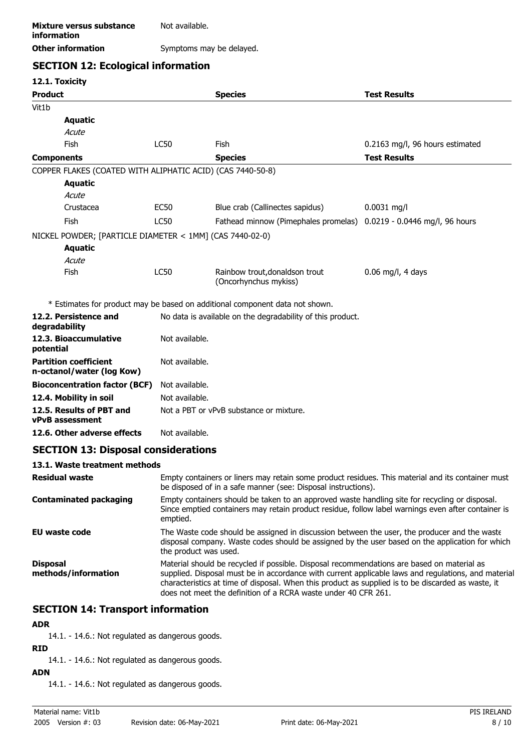| Mixture versus substance<br>information | Not available.           |
|-----------------------------------------|--------------------------|
| <b>Other information</b>                | Symptoms may be delayed. |

# **SECTION 12: Ecological information**

**12.1. Toxicity**

|                   | TT. I OYICILA                                              |                                                                                                                                                                                                                                                                                                                                                                           |                                                                              |                                 |
|-------------------|------------------------------------------------------------|---------------------------------------------------------------------------------------------------------------------------------------------------------------------------------------------------------------------------------------------------------------------------------------------------------------------------------------------------------------------------|------------------------------------------------------------------------------|---------------------------------|
| <b>Product</b>    |                                                            |                                                                                                                                                                                                                                                                                                                                                                           | <b>Species</b>                                                               | <b>Test Results</b>             |
| Vit1b             |                                                            |                                                                                                                                                                                                                                                                                                                                                                           |                                                                              |                                 |
|                   | <b>Aquatic</b>                                             |                                                                                                                                                                                                                                                                                                                                                                           |                                                                              |                                 |
|                   | Acute                                                      |                                                                                                                                                                                                                                                                                                                                                                           |                                                                              |                                 |
|                   | Fish                                                       | <b>LC50</b>                                                                                                                                                                                                                                                                                                                                                               | Fish                                                                         | 0.2163 mg/l, 96 hours estimated |
| <b>Components</b> |                                                            |                                                                                                                                                                                                                                                                                                                                                                           | <b>Species</b>                                                               | <b>Test Results</b>             |
|                   | COPPER FLAKES (COATED WITH ALIPHATIC ACID) (CAS 7440-50-8) |                                                                                                                                                                                                                                                                                                                                                                           |                                                                              |                                 |
|                   | <b>Aquatic</b>                                             |                                                                                                                                                                                                                                                                                                                                                                           |                                                                              |                                 |
|                   | Acute                                                      |                                                                                                                                                                                                                                                                                                                                                                           |                                                                              |                                 |
|                   | Crustacea                                                  | <b>EC50</b>                                                                                                                                                                                                                                                                                                                                                               | Blue crab (Callinectes sapidus)                                              | $0.0031$ mg/l                   |
|                   | Fish                                                       | <b>LC50</b>                                                                                                                                                                                                                                                                                                                                                               | Fathead minnow (Pimephales promelas) 0.0219 - 0.0446 mg/l, 96 hours          |                                 |
|                   | NICKEL POWDER; [PARTICLE DIAMETER < 1MM] (CAS 7440-02-0)   |                                                                                                                                                                                                                                                                                                                                                                           |                                                                              |                                 |
|                   | <b>Aquatic</b>                                             |                                                                                                                                                                                                                                                                                                                                                                           |                                                                              |                                 |
|                   | Acute                                                      |                                                                                                                                                                                                                                                                                                                                                                           |                                                                              |                                 |
|                   | Fish                                                       | <b>LC50</b>                                                                                                                                                                                                                                                                                                                                                               | Rainbow trout, donaldson trout<br>(Oncorhynchus mykiss)                      | $0.06$ mg/l, 4 days             |
|                   |                                                            |                                                                                                                                                                                                                                                                                                                                                                           | * Estimates for product may be based on additional component data not shown. |                                 |
|                   | 12.2. Persistence and                                      |                                                                                                                                                                                                                                                                                                                                                                           | No data is available on the degradability of this product.                   |                                 |
|                   | degradability                                              |                                                                                                                                                                                                                                                                                                                                                                           |                                                                              |                                 |
| potential         | 12.3. Bioaccumulative                                      | Not available.                                                                                                                                                                                                                                                                                                                                                            |                                                                              |                                 |
|                   | <b>Partition coefficient</b><br>n-octanol/water (log Kow)  | Not available.                                                                                                                                                                                                                                                                                                                                                            |                                                                              |                                 |
|                   | <b>Bioconcentration factor (BCF)</b>                       | Not available.                                                                                                                                                                                                                                                                                                                                                            |                                                                              |                                 |
|                   | 12.4. Mobility in soil                                     | Not available.                                                                                                                                                                                                                                                                                                                                                            |                                                                              |                                 |
|                   | 12.5. Results of PBT and<br>vPvB assessment                | Not a PBT or vPvB substance or mixture.                                                                                                                                                                                                                                                                                                                                   |                                                                              |                                 |
|                   | 12.6. Other adverse effects                                | Not available.                                                                                                                                                                                                                                                                                                                                                            |                                                                              |                                 |
|                   | <b>SECTION 13: Disposal considerations</b>                 |                                                                                                                                                                                                                                                                                                                                                                           |                                                                              |                                 |
|                   | 13.1. Waste treatment methods                              |                                                                                                                                                                                                                                                                                                                                                                           |                                                                              |                                 |
|                   | <b>Residual waste</b>                                      | Empty containers or liners may retain some product residues. This material and its container must<br>be disposed of in a safe manner (see: Disposal instructions).                                                                                                                                                                                                        |                                                                              |                                 |
|                   | <b>Contaminated packaging</b>                              | Empty containers should be taken to an approved waste handling site for recycling or disposal.<br>Since emptied containers may retain product residue, follow label warnings even after container is<br>emptied.                                                                                                                                                          |                                                                              |                                 |
|                   | <b>EU waste code</b>                                       | The Waste code should be assigned in discussion between the user, the producer and the waste<br>disposal company. Waste codes should be assigned by the user based on the application for which<br>the product was used.                                                                                                                                                  |                                                                              |                                 |
| <b>Disposal</b>   | methods/information                                        | Material should be recycled if possible. Disposal recommendations are based on material as<br>supplied. Disposal must be in accordance with current applicable laws and regulations, and material<br>characteristics at time of disposal. When this product as supplied is to be discarded as waste, it<br>does not meet the definition of a RCRA waste under 40 CFR 261. |                                                                              |                                 |
|                   |                                                            |                                                                                                                                                                                                                                                                                                                                                                           |                                                                              |                                 |

## **SECTION 14: Transport information**

### **ADR**

14.1. - 14.6.: Not regulated as dangerous goods.

### **RID**

14.1. - 14.6.: Not regulated as dangerous goods.

### **ADN**

14.1. - 14.6.: Not regulated as dangerous goods.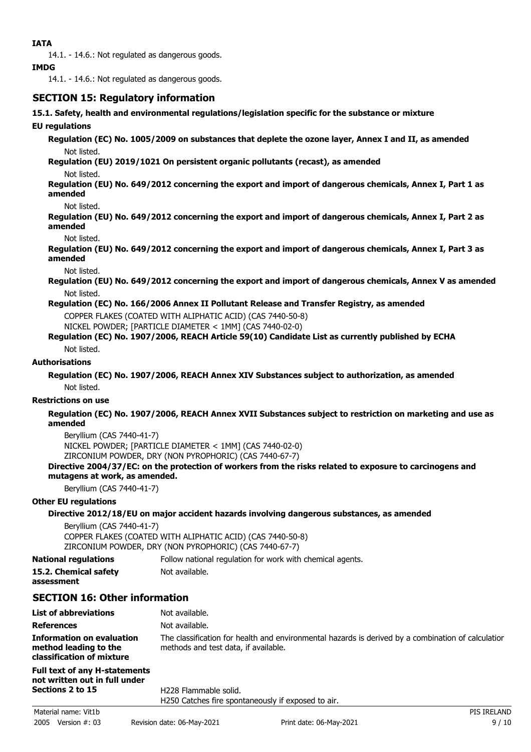14.1. - 14.6.: Not regulated as dangerous goods.

### **IMDG**

14.1. - 14.6.: Not regulated as dangerous goods.

### **SECTION 15: Regulatory information**

**15.1. Safety, health and environmental regulations/legislation specific for the substance or mixture**

### **EU regulations**

**Regulation (EC) No. 1005/2009 on substances that deplete the ozone layer, Annex I and II, as amended** Not listed.

**Regulation (EU) 2019/1021 On persistent organic pollutants (recast), as amended**

Not listed.

**Regulation (EU) No. 649/2012 concerning the export and import of dangerous chemicals, Annex I, Part 1 as amended**

Not listed.

**Regulation (EU) No. 649/2012 concerning the export and import of dangerous chemicals, Annex I, Part 2 as amended**

Not listed.

**Regulation (EU) No. 649/2012 concerning the export and import of dangerous chemicals, Annex I, Part 3 as amended**

Not listed.

**Regulation (EU) No. 649/2012 concerning the export and import of dangerous chemicals, Annex V as amended** Not listed.

### **Regulation (EC) No. 166/2006 Annex II Pollutant Release and Transfer Registry, as amended**

COPPER FLAKES (COATED WITH ALIPHATIC ACID) (CAS 7440-50-8)

NICKEL POWDER; [PARTICLE DIAMETER < 1MM] (CAS 7440-02-0)

### **Regulation (EC) No. 1907/2006, REACH Article 59(10) Candidate List as currently published by ECHA**

Not listed.

### **Authorisations**

**Regulation (EC) No. 1907/2006, REACH Annex XIV Substances subject to authorization, as amended** Not listed.

#### **Restrictions on use**

**Regulation (EC) No. 1907/2006, REACH Annex XVII Substances subject to restriction on marketing and use as amended**

Beryllium (CAS 7440-41-7) NICKEL POWDER; [PARTICLE DIAMETER < 1MM] (CAS 7440-02-0) ZIRCONIUM POWDER, DRY (NON PYROPHORIC) (CAS 7440-67-7)

### **Directive 2004/37/EC: on the protection of workers from the risks related to exposure to carcinogens and mutagens at work, as amended.**

Beryllium (CAS 7440-41-7)

#### **Other EU regulations**

### **Directive 2012/18/EU on major accident hazards involving dangerous substances, as amended**

Beryllium (CAS 7440-41-7) COPPER FLAKES (COATED WITH ALIPHATIC ACID) (CAS 7440-50-8) ZIRCONIUM POWDER, DRY (NON PYROPHORIC) (CAS 7440-67-7)

**National regulations** Follow national regulation for work with chemical agents.

**15.2. Chemical safety** Not available.

### **assessment**

# **SECTION 16: Other information**

| <b>List of abbreviations</b>                                                    | Not available.                                                                                                                             |
|---------------------------------------------------------------------------------|--------------------------------------------------------------------------------------------------------------------------------------------|
| <b>References</b>                                                               | Not available.                                                                                                                             |
| Information on evaluation<br>method leading to the<br>classification of mixture | The classification for health and environmental hazards is derived by a combination of calculation<br>methods and test data, if available. |
|                                                                                 |                                                                                                                                            |

#### **Full text of any H-statements not written out in full under Sections 2 to 15**

H228 Flammable solid. H250 Catches fire spontaneously if exposed to air.